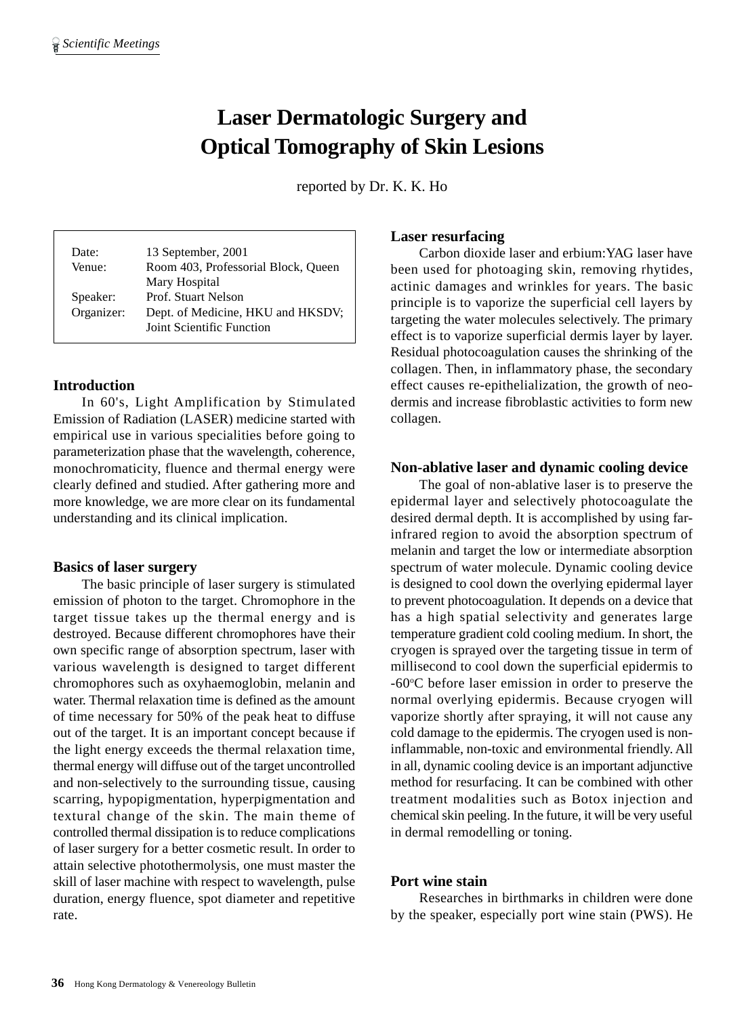# **Laser Dermatologic Surgery and Optical Tomography of Skin Lesions**

reported by Dr. K. K. Ho

| Date:<br>Venue: | 13 September, 2001<br>Room 403, Professorial Block, Queen      |
|-----------------|----------------------------------------------------------------|
|                 | Mary Hospital                                                  |
| Speaker:        | Prof. Stuart Nelson                                            |
| Organizer:      | Dept. of Medicine, HKU and HKSDV;<br>Joint Scientific Function |

## **Introduction**

In 60's, Light Amplification by Stimulated Emission of Radiation (LASER) medicine started with empirical use in various specialities before going to parameterization phase that the wavelength, coherence, monochromaticity, fluence and thermal energy were clearly defined and studied. After gathering more and more knowledge, we are more clear on its fundamental understanding and its clinical implication.

#### **Basics of laser surgery**

The basic principle of laser surgery is stimulated emission of photon to the target. Chromophore in the target tissue takes up the thermal energy and is destroyed. Because different chromophores have their own specific range of absorption spectrum, laser with various wavelength is designed to target different chromophores such as oxyhaemoglobin, melanin and water. Thermal relaxation time is defined as the amount of time necessary for 50% of the peak heat to diffuse out of the target. It is an important concept because if the light energy exceeds the thermal relaxation time, thermal energy will diffuse out of the target uncontrolled and non-selectively to the surrounding tissue, causing scarring, hypopigmentation, hyperpigmentation and textural change of the skin. The main theme of controlled thermal dissipation is to reduce complications of laser surgery for a better cosmetic result. In order to attain selective photothermolysis, one must master the skill of laser machine with respect to wavelength, pulse duration, energy fluence, spot diameter and repetitive rate.

## **Laser resurfacing**

Carbon dioxide laser and erbium:YAG laser have been used for photoaging skin, removing rhytides, actinic damages and wrinkles for years. The basic principle is to vaporize the superficial cell layers by targeting the water molecules selectively. The primary effect is to vaporize superficial dermis layer by layer. Residual photocoagulation causes the shrinking of the collagen. Then, in inflammatory phase, the secondary effect causes re-epithelialization, the growth of neodermis and increase fibroblastic activities to form new collagen.

#### **Non-ablative laser and dynamic cooling device**

The goal of non-ablative laser is to preserve the epidermal layer and selectively photocoagulate the desired dermal depth. It is accomplished by using farinfrared region to avoid the absorption spectrum of melanin and target the low or intermediate absorption spectrum of water molecule. Dynamic cooling device is designed to cool down the overlying epidermal layer to prevent photocoagulation. It depends on a device that has a high spatial selectivity and generates large temperature gradient cold cooling medium. In short, the cryogen is sprayed over the targeting tissue in term of millisecond to cool down the superficial epidermis to -60°C before laser emission in order to preserve the normal overlying epidermis. Because cryogen will vaporize shortly after spraying, it will not cause any cold damage to the epidermis. The cryogen used is noninflammable, non-toxic and environmental friendly. All in all, dynamic cooling device is an important adjunctive method for resurfacing. It can be combined with other treatment modalities such as Botox injection and chemical skin peeling. In the future, it will be very useful in dermal remodelling or toning.

#### **Port wine stain**

Researches in birthmarks in children were done by the speaker, especially port wine stain (PWS). He